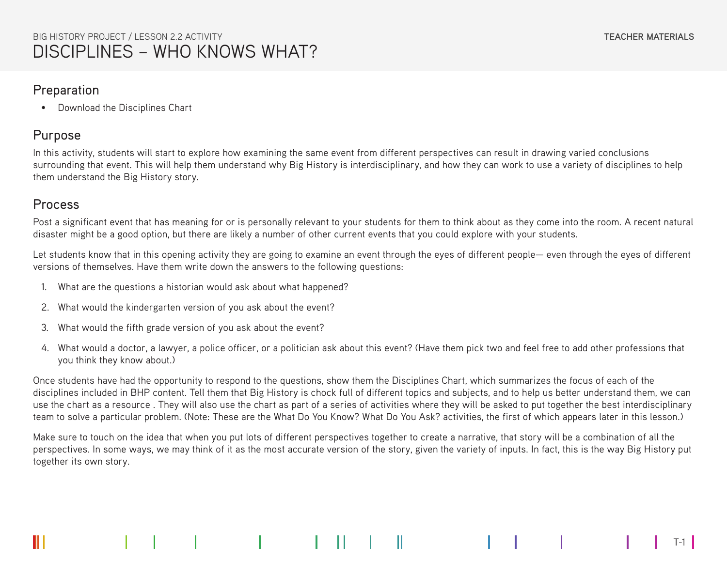#### Preparation

• Download the Disciplines Chart

# Purpose

In this activity, students will start to explore how examining the same event from different perspectives can result in drawing varied conclusions surrounding that event. This will help them understand why Big History is interdisciplinary, and how they can work to use a variety of disciplines to help them understand the Big History story.

# Process

Post a significant event that has meaning for or is personally relevant to your students for them to think about as they come into the room. A recent natural disaster might be a good option, but there are likely a number of other current events that you could explore with your students.

Let students know that in this opening activity they are going to examine an event through the eyes of different people— even through the eyes of different versions of themselves. Have them write down the answers to the following questions:

- 1. What are the questions a historian would ask about what happened?
- 2. What would the kindergarten version of you ask about the event?
- 3. What would the fifth grade version of you ask about the event?
- 4. What would a doctor, a lawyer, a police officer, or a politician ask about this event? (Have them pick two and feel free to add other professions that you think they know about.)

Once students have had the opportunity to respond to the questions, show them the Disciplines Chart, which summarizes the focus of each of the disciplines included in BHP content. Tell them that Big History is chock full of different topics and subjects, and to help us better understand them, we can use the chart as a resource . They will also use the chart as part of a series of activities where they will be asked to put together the best interdisciplinary team to solve a particular problem. (Note: These are the What Do You Know? What Do You Ask? activities, the first of which appears later in this lesson.)

Make sure to touch on the idea that when you put lots of different perspectives together to create a narrative, that story will be a combination of all the perspectives. In some ways, we may think of it as the most accurate version of the story, given the variety of inputs. In fact, this is the way Big History put together its own story.

T-1